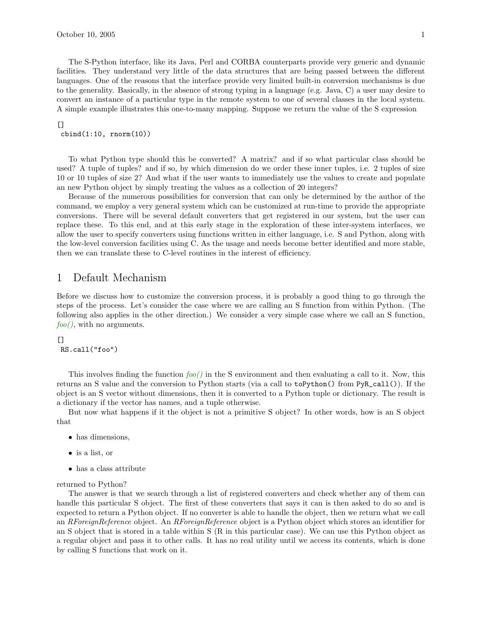facilities. They understand very little of the data structures that are being passed between the different languages. One of the reasons that the interface provide very limited built-in conversion mechanisms is due to the generality. Basically, in the absence of strong typing in a language (e.g. Java, C) a user may desire to convert an instance of a particular type in the remote system to one of several classes in the local system. A simple example illustrates this one-to-many mapping. Suppose we return the value of the S expression

## $[$ cbind(1:10, rnorm(10))

To what Python type should this be converted? A matrix? and if so what particular class should be used? A tuple of tuples? and if so, by which dimension do we order these inner tuples, i.e. 2 tuples of size 10 or 10 tuples of size 2? And what if the user wants to immediately use the values to create and populate an new Python object by simply treating the values as a collection of 20 integers?

Because of the numerous possibilities for conversion that can only be determined by the author of the command, we employ a very general system which can be customized at run-time to provide the appropriate conversions. There will be several default converters that get registered in our system, but the user can replace these. To this end, and at this early stage in the exploration of these inter-system interfaces, we allow the user to specify converters using functions written in either language, i.e. S and Python, along with the low-level conversion facilities using C. As the usage and needs become better identified and more stable, then we can translate these to C-level routines in the interest of efficiency.

# 1 Default Mechanism

Before we discuss how to customize the conversion process, it is probably a good thing to go through the steps of the process. Let's consider the case where we are calling an S function from within Python. (The following also applies in the other direction.) We consider a very simple case where we call an S function,  $foo($ , with no arguments.

## $\Box$

RS.call("foo")

This involves finding the function  $foo()$  in the S environment and then evaluating a call to it. Now, this returns an S value and the conversion to Python starts (via a call to toPython() from PyR\_call()). If the object is an S vector without dimensions, then it is converted to a Python tuple or dictionary. The result is a dictionary if the vector has names, and a tuple otherwise.

But now what happens if it the object is not a primitive S object? In other words, how is an S object that

- has dimensions,
- is a list, or
- has a class attribute

### returned to Python?

The answer is that we search through a list of registered converters and check whether any of them can handle this particular S object. The first of these converters that says it can is then asked to do so and is expected to return a Python object. If no converter is able to handle the object, then we return what we call an RForeignReference object. An RForeignReference object is a Python object which stores an identifier for an S object that is stored in a table within S (R in this particular case). We can use this Python object as a regular object and pass it to other calls. It has no real utility until we access its contents, which is done by calling S functions that work on it.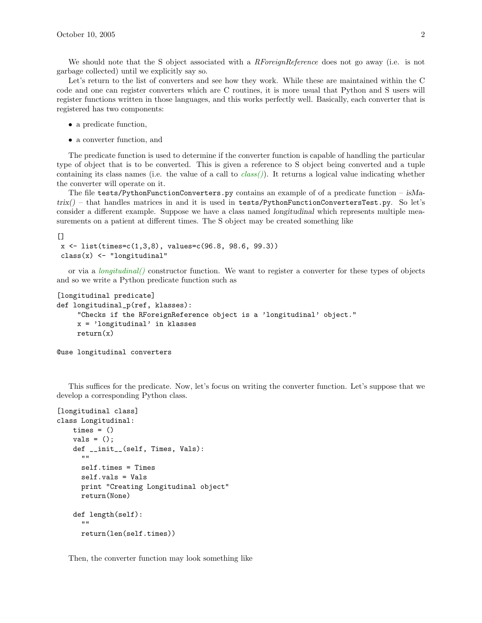We should note that the S object associated with a *RForeignReference* does not go away (i.e. is not garbage collected) until we explicitly say so.

Let's return to the list of converters and see how they work. While these are maintained within the C code and one can register converters which are C routines, it is more usual that Python and S users will register functions written in those languages, and this works perfectly well. Basically, each converter that is registered has two components:

- a predicate function,
- a converter function, and

The predicate function is used to determine if the converter function is capable of handling the particular type of object that is to be converted. This is given a reference to S object being converted and a tuple containing its class names (i.e. the value of a call to  $class()$ ). It returns a logical value indicating whether the converter will operate on it.

The file tests/PythonFunctionConverters.py contains an example of of a predicate function –  $i<sub>8</sub>M$ a $trix()$  – that handles matrices in and it is used in tests/PythonFunctionConvertersTest.py. So let's consider a different example. Suppose we have a class named longitudinal which represents multiple measurements on a patient at different times. The S object may be created something like

 $[$ 

```
x \leftarrow list(times=c(1,3,8), values=c(96.8, 98.6, 99.3))
class(x) <- "longitudinal"
```
or via a  $\text{longitudinal}()$  constructor function. We want to register a converter for these types of objects and so we write a Python predicate function such as

```
[longitudinal predicate]
def longitudinal_p(ref, klasses):
     "Checks if the RForeignReference object is a 'longitudinal' object."
     x = 'longitudinal' in klasses
     return(x)
```
@use longitudinal converters

This suffices for the predicate. Now, let's focus on writing the converter function. Let's suppose that we develop a corresponding Python class.

```
[longitudinal class]
class Longitudinal:
    times = ()vals = ();
    def __init__(self, Times, Vals):
      ""
      self.times = Times
      self.vals = Vals
      print "Creating Longitudinal object"
      return(None)
    def length(self):
      ""
      return(len(self.times))
```
Then, the converter function may look something like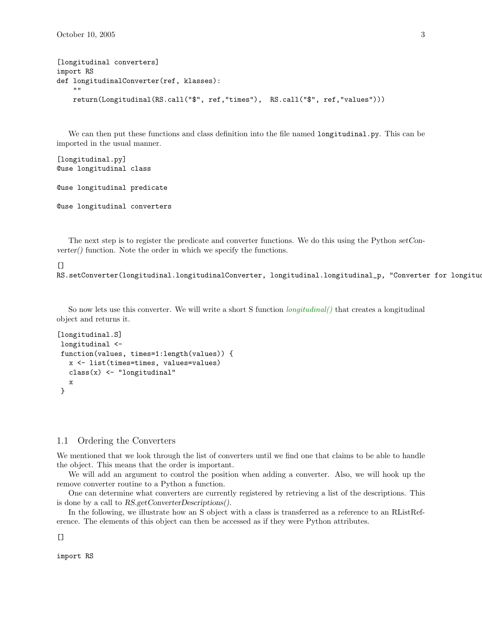```
[longitudinal converters]
import RS
def longitudinalConverter(ref, klasses):
    ^{\rm m} ""
    return(Longitudinal(RS.call("$", ref,"times"), RS.call("$", ref,"values")))
```
We can then put these functions and class definition into the file named longitudinal.py. This can be imported in the usual manner.

```
[longitudinal.py]
@use longitudinal class
@use longitudinal predicate
@use longitudinal converters
```
The next step is to register the predicate and converter functions. We do this using the Python setConverter() function. Note the order in which we specify the functions.

#### $\Box$

RS.setConverter(longitudinal.longitudinalConverter, longitudinal.longitudinal\_p, "Converter for longitudinal

So now lets use this converter. We will write a short S function  $\text{longitudinal}()$  that creates a longitudinal object and returns it.

```
[longitudinal.S]
longitudinal <-
function(values, times=1:length(values)) {
  x <- list(times=times, values=values)
  class(x) <- "longitudinal"
  x
}
```
## 1.1 Ordering the Converters

We mentioned that we look through the list of converters until we find one that claims to be able to handle the object. This means that the order is important.

We will add an argument to control the position when adding a converter. Also, we will hook up the remove converter routine to a Python a function.

One can determine what converters are currently registered by retrieving a list of the descriptions. This is done by a call to RS.getConverterDescriptions().

In the following, we illustrate how an S object with a class is transferred as a reference to an RListReference. The elements of this object can then be accessed as if they were Python attributes.

 $\Box$ 

import RS